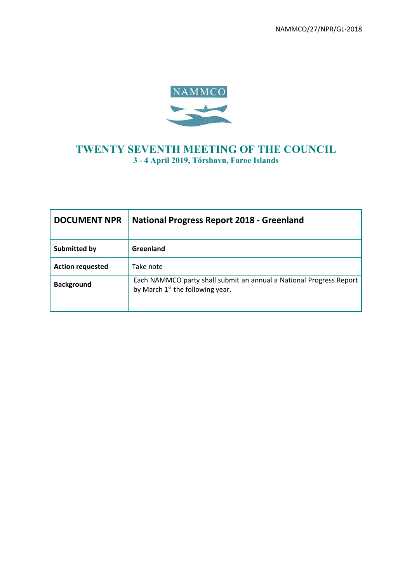NAMMCO/27/NPR/GL-2018



# **TWENTY SEVENTH MEETING OF THE COUNCIL 3 - 4 April 2019, Tórshavn, Faroe Islands**

| <b>DOCUMENT NPR</b>     | <b>National Progress Report 2018 - Greenland</b>                                                          |  |  |
|-------------------------|-----------------------------------------------------------------------------------------------------------|--|--|
| Submitted by            | Greenland                                                                                                 |  |  |
| <b>Action requested</b> | Take note                                                                                                 |  |  |
| <b>Background</b>       | Each NAMMCO party shall submit an annual a National Progress Report<br>by March $1st$ the following year. |  |  |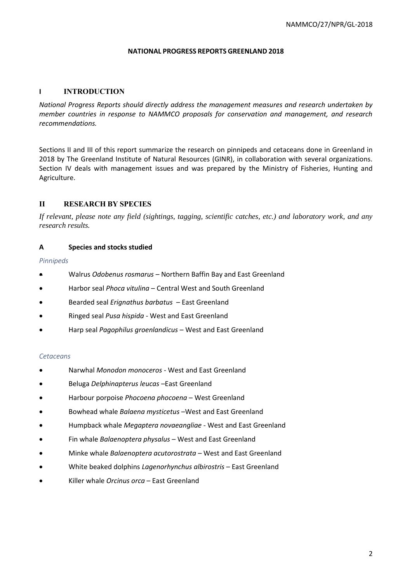#### **NATIONAL PROGRESS REPORTS GREENLAND 2018**

### **I INTRODUCTION**

*National Progress Reports should directly address the management measures and research undertaken by member countries in response to NAMMCO proposals for conservation and management, and research recommendations.* 

Sections II and III of this report summarize the research on pinnipeds and cetaceans done in Greenland in 2018 by The Greenland Institute of Natural Resources (GINR), in collaboration with several organizations. Section IV deals with management issues and was prepared by the Ministry of Fisheries, Hunting and Agriculture.

# **II RESEARCH BY SPECIES**

*If relevant, please note any field (sightings, tagging, scientific catches, etc.) and laboratory work, and any research results.*

#### **A Species and stocks studied**

#### *Pinnipeds*

- Walrus *Odobenus rosmarus –* Northern Baffin Bay and East Greenland
- Harbor seal *Phoca vitulina* Central West and South Greenland
- Bearded seal *Erignathus barbatus* East Greenland
- Ringed seal *Pusa hispida* West and East Greenland
- Harp seal *Pagophilus groenlandicus* West and East Greenland

#### *Cetaceans*

- Narwhal *Monodon monoceros* West and East Greenland
- Beluga *Delphinapterus leucas –*East Greenland
- Harbour porpoise *Phocoena phocoena* West Greenland
- Bowhead whale *Balaena mysticetus* –West and East Greenland
- Humpback whale *Megaptera novaeangliae* West and East Greenland
- Fin whale *Balaenoptera physalus*  West and East Greenland
- Minke whale *Balaenoptera acutorostrata* West and East Greenland
- White beaked dolphins *Lagenorhynchus albirostris*  East Greenland
- Killer whale *Orcinus orca*  East Greenland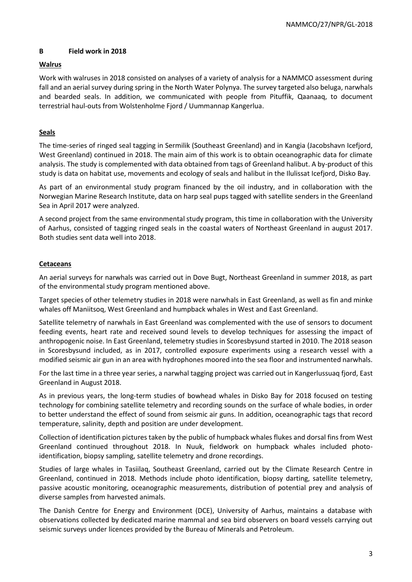### **B Field work in 2018**

# **Walrus**

Work with walruses in 2018 consisted on analyses of a variety of analysis for a NAMMCO assessment during fall and an aerial survey during spring in the North Water Polynya. The survey targeted also beluga, narwhals and bearded seals. In addition, we communicated with people from Pituffik, Qaanaaq, to document terrestrial haul-outs from Wolstenholme Fjord / Uummannap Kangerlua.

# **Seals**

The time-series of ringed seal tagging in Sermilik (Southeast Greenland) and in Kangia (Jacobshavn Icefjord, West Greenland) continued in 2018. The main aim of this work is to obtain oceanographic data for climate analysis. The study is complemented with data obtained from tags of Greenland halibut. A by-product of this study is data on habitat use, movements and ecology of seals and halibut in the Ilulissat Icefjord, Disko Bay.

As part of an environmental study program financed by the oil industry, and in collaboration with the Norwegian Marine Research Institute, data on harp seal pups tagged with satellite senders in the Greenland Sea in April 2017 were analyzed.

A second project from the same environmental study program, this time in collaboration with the University of Aarhus, consisted of tagging ringed seals in the coastal waters of Northeast Greenland in august 2017. Both studies sent data well into 2018.

### **Cetaceans**

An aerial surveys for narwhals was carried out in Dove Bugt, Northeast Greenland in summer 2018, as part of the environmental study program mentioned above.

Target species of other telemetry studies in 2018 were narwhals in East Greenland, as well as fin and minke whales off Maniitsoq, West Greenland and humpback whales in West and East Greenland.

Satellite telemetry of narwhals in East Greenland was complemented with the use of sensors to document feeding events, heart rate and received sound levels to develop techniques for assessing the impact of anthropogenic noise. In East Greenland, telemetry studies in Scoresbysund started in 2010. The 2018 season in Scoresbysund included, as in 2017, controlled exposure experiments using a research vessel with a modified seismic air gun in an area with hydrophones moored into the sea floor and instrumented narwhals.

For the last time in a three year series, a narwhal tagging project was carried out in Kangerlussuaq fjord, East Greenland in August 2018.

As in previous years, the long-term studies of bowhead whales in Disko Bay for 2018 focused on testing technology for combining satellite telemetry and recording sounds on the surface of whale bodies, in order to better understand the effect of sound from seismic air guns. In addition, oceanographic tags that record temperature, salinity, depth and position are under development.

Collection of identification pictures taken by the public of humpback whales flukes and dorsal fins from West Greenland continued throughout 2018. In Nuuk, fieldwork on humpback whales included photoidentification, biopsy sampling, satellite telemetry and drone recordings.

Studies of large whales in Tasiilaq, Southeast Greenland, carried out by the Climate Research Centre in Greenland, continued in 2018. Methods include photo identification, biopsy darting, satellite telemetry, passive acoustic monitoring, oceanographic measurements, distribution of potential prey and analysis of diverse samples from harvested animals.

The Danish Centre for Energy and Environment (DCE), University of Aarhus, maintains a database with observations collected by dedicated marine mammal and sea bird observers on board vessels carrying out seismic surveys under licences provided by the Bureau of Minerals and Petroleum.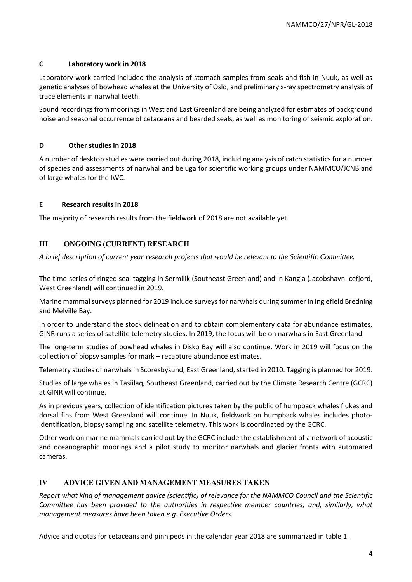### **C Laboratory work in 2018**

Laboratory work carried included the analysis of stomach samples from seals and fish in Nuuk, as well as genetic analyses of bowhead whales at the University of Oslo, and preliminary x-ray spectrometry analysis of trace elements in narwhal teeth.

Sound recordings from moorings in West and East Greenland are being analyzed for estimates of background noise and seasonal occurrence of cetaceans and bearded seals, as well as monitoring of seismic exploration.

# **D Other studies in 2018**

A number of desktop studies were carried out during 2018, including analysis of catch statistics for a number of species and assessments of narwhal and beluga for scientific working groups under NAMMCO/JCNB and of large whales for the IWC.

### **E Research results in 2018**

The majority of research results from the fieldwork of 2018 are not available yet.

# **III ONGOING (CURRENT) RESEARCH**

*A brief description of current year research projects that would be relevant to the Scientific Committee.*

The time-series of ringed seal tagging in Sermilik (Southeast Greenland) and in Kangia (Jacobshavn Icefjord, West Greenland) will continued in 2019.

Marine mammal surveys planned for 2019 include surveys for narwhals during summer in Inglefield Bredning and Melville Bay.

In order to understand the stock delineation and to obtain complementary data for abundance estimates, GINR runs a series of satellite telemetry studies. In 2019, the focus will be on narwhals in East Greenland.

The long-term studies of bowhead whales in Disko Bay will also continue. Work in 2019 will focus on the collection of biopsy samples for mark – recapture abundance estimates.

Telemetry studies of narwhals in Scoresbysund, East Greenland, started in 2010. Tagging is planned for 2019.

Studies of large whales in Tasiilaq, Southeast Greenland, carried out by the Climate Research Centre (GCRC) at GINR will continue.

As in previous years, collection of identification pictures taken by the public of humpback whales flukes and dorsal fins from West Greenland will continue. In Nuuk, fieldwork on humpback whales includes photoidentification, biopsy sampling and satellite telemetry. This work is coordinated by the GCRC.

Other work on marine mammals carried out by the GCRC include the establishment of a network of acoustic and oceanographic moorings and a pilot study to monitor narwhals and glacier fronts with automated cameras.

# **IV ADVICE GIVEN AND MANAGEMENT MEASURES TAKEN**

*Report what kind of management advice (scientific) of relevance for the NAMMCO Council and the Scientific Committee has been provided to the authorities in respective member countries, and, similarly, what management measures have been taken e.g. Executive Orders.* 

Advice and quotas for cetaceans and pinnipeds in the calendar year 2018 are summarized in table 1.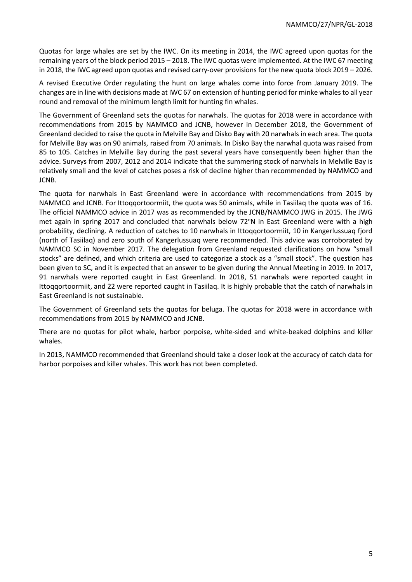Quotas for large whales are set by the IWC. On its meeting in 2014, the IWC agreed upon quotas for the remaining years of the block period 2015 – 2018. The IWC quotas were implemented. At the IWC 67 meeting in 2018, the IWC agreed upon quotas and revised carry-over provisions for the new quota block 2019 – 2026.

A revised Executive Order regulating the hunt on large whales come into force from January 2019. The changes are in line with decisions made at IWC 67 on extension of hunting period for minke whales to all year round and removal of the minimum length limit for hunting fin whales.

The Government of Greenland sets the quotas for narwhals. The quotas for 2018 were in accordance with recommendations from 2015 by NAMMCO and JCNB, however in December 2018, the Government of Greenland decided to raise the quota in Melville Bay and Disko Bay with 20 narwhals in each area. The quota for Melville Bay was on 90 animals, raised from 70 animals. In Disko Bay the narwhal quota was raised from 85 to 105. Catches in Melville Bay during the past several years have consequently been higher than the advice. Surveys from 2007, 2012 and 2014 indicate that the summering stock of narwhals in Melville Bay is relatively small and the level of catches poses a risk of decline higher than recommended by NAMMCO and JCNB.

The quota for narwhals in East Greenland were in accordance with recommendations from 2015 by NAMMCO and JCNB. For Ittoqqortoormiit, the quota was 50 animals, while in Tasiilaq the quota was of 16. The official NAMMCO advice in 2017 was as recommended by the JCNB/NAMMCO JWG in 2015. The JWG met again in spring 2017 and concluded that narwhals below 72°N in East Greenland were with a high probability, declining. A reduction of catches to 10 narwhals in Ittoqqortoormiit, 10 in Kangerlussuaq fjord (north of Tasiilaq) and zero south of Kangerlussuaq were recommended. This advice was corroborated by NAMMCO SC in November 2017. The delegation from Greenland requested clarifications on how "small stocks" are defined, and which criteria are used to categorize a stock as a "small stock". The question has been given to SC, and it is expected that an answer to be given during the Annual Meeting in 2019. In 2017, 91 narwhals were reported caught in East Greenland. In 2018, 51 narwhals were reported caught in Ittoqqortoormiit, and 22 were reported caught in Tasiilaq. It is highly probable that the catch of narwhals in East Greenland is not sustainable.

The Government of Greenland sets the quotas for beluga. The quotas for 2018 were in accordance with recommendations from 2015 by NAMMCO and JCNB.

There are no quotas for pilot whale, harbor porpoise, white-sided and white-beaked dolphins and killer whales.

In 2013, NAMMCO recommended that Greenland should take a closer look at the accuracy of catch data for harbor porpoises and killer whales. This work has not been completed.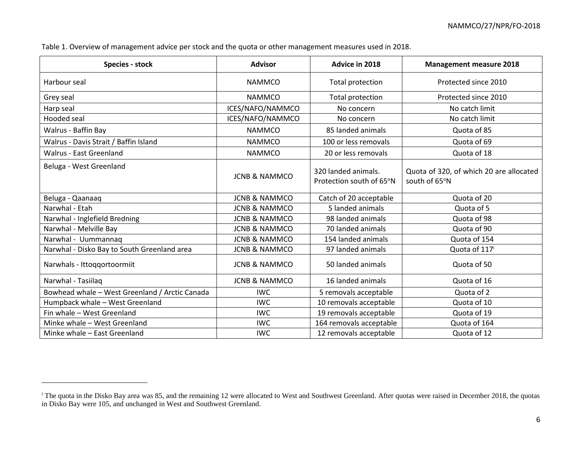Table 1. Overview of management advice per stock and the quota or other management measures used in 2018.

 $\overline{a}$ 

| <b>Species - stock</b>                         | <b>Advisor</b>           | Advice in 2018                                  | <b>Management measure 2018</b>                           |
|------------------------------------------------|--------------------------|-------------------------------------------------|----------------------------------------------------------|
| Harbour seal                                   | <b>NAMMCO</b>            | Total protection                                | Protected since 2010                                     |
| Grey seal                                      | <b>NAMMCO</b>            | <b>Total protection</b>                         | Protected since 2010                                     |
| Harp seal                                      | ICES/NAFO/NAMMCO         | No concern                                      | No catch limit                                           |
| <b>Hooded</b> seal                             | ICES/NAFO/NAMMCO         | No concern                                      | No catch limit                                           |
| Walrus - Baffin Bay                            | <b>NAMMCO</b>            | 85 landed animals                               | Quota of 85                                              |
| Walrus - Davis Strait / Baffin Island          | <b>NAMMCO</b>            | 100 or less removals                            | Quota of 69                                              |
| Walrus - East Greenland                        | <b>NAMMCO</b>            | 20 or less removals                             | Quota of 18                                              |
| Beluga - West Greenland                        | <b>JCNB &amp; NAMMCO</b> | 320 landed animals.<br>Protection south of 65°N | Quota of 320, of which 20 are allocated<br>south of 65°N |
| Beluga - Qaanaaq                               | <b>JCNB &amp; NAMMCO</b> | Catch of 20 acceptable                          | Quota of 20                                              |
| Narwhal - Etah                                 | <b>JCNB &amp; NAMMCO</b> | 5 landed animals                                | Quota of 5                                               |
| Narwhal - Inglefield Bredning                  | <b>JCNB &amp; NAMMCO</b> | 98 landed animals                               | Quota of 98                                              |
| Narwhal - Melville Bay                         | <b>JCNB &amp; NAMMCO</b> | 70 landed animals                               | Quota of 90                                              |
| Narwhal - Uummannaq                            | <b>JCNB &amp; NAMMCO</b> | 154 landed animals                              | Quota of 154                                             |
| Narwhal - Disko Bay to South Greenland area    | <b>JCNB &amp; NAMMCO</b> | 97 landed animals                               | Quota of 117 <sup>i</sup>                                |
| Narwhals - Ittoqqortoormiit                    | <b>JCNB &amp; NAMMCO</b> | 50 landed animals                               | Quota of 50                                              |
| Narwhal - Tasiilaq                             | <b>JCNB &amp; NAMMCO</b> | 16 landed animals                               | Quota of 16                                              |
| Bowhead whale - West Greenland / Arctic Canada | <b>IWC</b>               | 5 removals acceptable                           | Quota of 2                                               |
| Humpback whale - West Greenland                | <b>IWC</b>               | 10 removals acceptable                          | Quota of 10                                              |
| Fin whale - West Greenland                     | <b>IWC</b>               | 19 removals acceptable                          | Quota of 19                                              |
| Minke whale - West Greenland                   | <b>IWC</b>               | 164 removals acceptable                         | Quota of 164                                             |
| Minke whale - East Greenland                   | <b>IWC</b>               | 12 removals acceptable                          | Quota of 12                                              |

<sup>&</sup>lt;sup>i</sup> The quota in the Disko Bay area was 85, and the remaining 12 were allocated to West and Southwest Greenland. After quotas were raised in December 2018, the quotas in Disko Bay were 105, and unchanged in West and Southwest Greenland.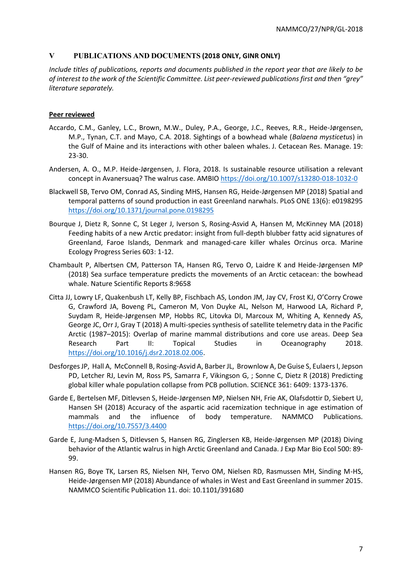# **V PUBLICATIONS AND DOCUMENTS (2018 ONLY, GINR ONLY)**

*Include titles of publications, reports and documents published in the report year that are likely to be of interest to the work of the Scientific Committee. List peer-reviewed publications first and then "grey" literature separately.*

# **Peer reviewed**

- Accardo, C.M., Ganley, L.C., Brown, M.W., Duley, P.A., George, J.C., Reeves, R.R., Heide-Jørgensen, M.P., Tynan, C.T. and Mayo, C.A. 2018. Sightings of a bowhead whale (*Balaena mysticetus*) in the Gulf of Maine and its interactions with other baleen whales. J. Cetacean Res. Manage. 19: 23-30.
- Andersen, A. O., M.P. Heide-Jørgensen, J. Flora, 2018. Is sustainable resource utilisation a relevant concept in Avanersuaq? The walrus case. AMBIO<https://doi.org/10.1007/s13280-018-1032-0>
- Blackwell SB, Tervo OM, Conrad AS, Sinding MHS, Hansen RG, Heide-Jørgensen MP (2018) Spatial and temporal patterns of sound production in east Greenland narwhals. PLoS ONE 13(6): e0198295 <https://doi.org/10.1371/journal.pone.0198295>
- Bourque J, Dietz R, Sonne C, St Leger J, Iverson S, Rosing-Asvid A, Hansen M, McKinney MA (2018) Feeding habits of a new Arctic predator: insight from full-depth blubber fatty acid signatures of Greenland, Faroe Islands, Denmark and managed-care killer whales Orcinus orca. Marine Ecology Progress Series 603: 1-12.
- Chambault P, Albertsen CM, Patterson TA, Hansen RG, Tervo O, Laidre K and Heide-Jørgensen MP (2018) Sea surface temperature predicts the movements of an Arctic cetacean: the bowhead whale. Nature Scientific Reports 8:9658
- Citta JJ, Lowry LF, Quakenbush LT, Kelly BP, Fischbach AS, London JM, Jay CV, Frost KJ, O'Corry Crowe G, Crawford JA, Boveng PL, Cameron M, Von Duyke AL, Nelson M, Harwood LA, Richard P, Suydam R, Heide-Jørgensen MP, Hobbs RC, Litovka DI, Marcoux M, Whiting A, Kennedy AS, George JC, Orr J, Gray T (2018) A multi-species synthesis of satellite telemetry data in the Pacific Arctic (1987–2015): Overlap of marine mammal distributions and core use areas. Deep Sea Research Part II: Topical Studies in Oceanography 2018. [https://doi.org/10.1016/j.dsr2.2018.02.006.](https://doi.org/10.1016/j.dsr2.2018.02.006)
- Desforges JP, Hall A, McConnell B, Rosing-Asvid A, Barber JL, Brownlow A, De Guise S, Eulaers I, Jepson PD, Letcher RJ, Levin M, Ross PS, Samarra F, Vikingson G, ; Sonne C, Dietz R (2018) Predicting global killer whale population collapse from PCB pollution. SCIENCE 361: 6409: 1373-1376.
- Garde E, Bertelsen MF, Ditlevsen S, Heide-Jørgensen MP, Nielsen NH, Frie AK, Olafsdottir D, Siebert U, Hansen SH (2018) Accuracy of the aspartic acid racemization technique in age estimation of mammals and the influence of body temperature. NAMMCO Publications. <https://doi.org/10.7557/3.4400>
- Garde E, Jung-Madsen S, Ditlevsen S, Hansen RG, Zinglersen KB, Heide-Jørgensen MP (2018) Diving behavior of the Atlantic walrus in high Arctic Greenland and Canada. J Exp Mar Bio Ecol 500: 89- 99.
- Hansen RG, Boye TK, Larsen RS, Nielsen NH, Tervo OM, Nielsen RD, Rasmussen MH, Sinding M-HS, Heide-Jørgensen MP (2018) Abundance of whales in West and East Greenland in summer 2015. NAMMCO Scientific Publication 11. doi: 10.1101/391680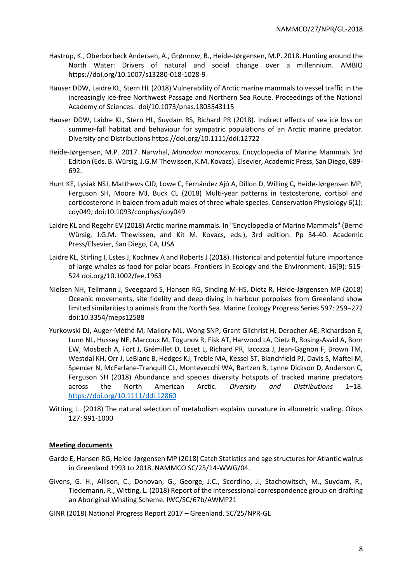- Hastrup, K., Oberborbeck Andersen, A., Grønnow, B., Heide-Jørgensen, M.P. 2018. Hunting around the North Water: Drivers of natural and social change over a millennium. AMBIO https://doi.org/10.1007/s13280-018-1028-9
- Hauser DDW, Laidre KL, Stern HL (2018) Vulnerability of Arctic marine mammals to vessel traffic in the increasingly ice-free Northwest Passage and Northern Sea Route. Proceedings of the National Academy of Sciences. doi/10.1073/pnas.1803543115
- Hauser DDW, Laidre KL, Stern HL, Suydam RS, Richard PR (2018). Indirect effects of sea ice loss on summer-fall habitat and behaviour for sympatric populations of an Arctic marine predator. Diversity and Distributions https://doi.org/10.1111/ddi.12722
- Heide-Jørgensen, M.P. 2017. Narwhal, *Monodon monoceros*. Encyclopedia of Marine Mammals 3rd Edition (Eds. B. Würsig, J.G.M Thewissen, K.M. Kovacs). Elsevier, Academic Press, San Diego, 689- 692.
- Hunt KE, Lysiak NSJ, Matthews CJD, Lowe C, Fernández Ajó A, Dillon D, Willing C, Heide-Jørgensen MP, Ferguson SH, Moore MJ, Buck CL (2018) Multi-year patterns in testosterone, cortisol and corticosterone in baleen from adult males of three whale species. Conservation Physiology 6(1): coy049; doi:10.1093/conphys/coy049
- Laidre KL and Regehr EV (2018) Arctic marine mammals. In "Encyclopedia of Marine Mammals" (Bernd Würsig, J.G.M. Thewissen, and Kit M. Kovacs, eds.), 3rd edition. Pp 34-40. Academic Press/Elsevier, San Diego, CA, USA
- Laidre KL, Stirling I, Estes J, Kochnev A and Roberts J (2018). Historical and potential future importance of large whales as food for polar bears. Frontiers in Ecology and the Environment. 16(9): 515- 524 doi.org/10.1002/fee.1963
- Nielsen NH, Teilmann J, Sveegaard S, Hansen RG, Sinding M-HS, Dietz R, Heide-Jørgensen MP (2018) Oceanic movements, site fidelity and deep diving in harbour porpoises from Greenland show limited similarities to animals from the North Sea. Marine Ecology Progress Series 597: 259–272 doi:10.3354/meps12588
- Yurkowski DJ, Auger‐Méthé M, Mallory ML, Wong SNP, Grant Gilchrist H, Derocher AE, Richardson E, Lunn NL, Hussey NE, Marcoux M, Togunov R, Fisk AT, Harwood LA, Dietz R, Rosing‐Asvid A, Born EW, Mosbech A, Fort J, Grémillet D, Loset L, Richard PR, Iacozza J, Jean‐Gagnon F, Brown TM, Westdal KH, Orr J, LeBlanc B, Hedges KJ, Treble MA, Kessel ST, Blanchfield PJ, Davis S, Maftei M, Spencer N, McFarlane‐Tranquill CL, Montevecchi WA, Bartzen B, Lynne Dickson D, Anderson C, Ferguson SH (2018) Abundance and species diversity hotspots of tracked marine predators across the North American Arctic. *Diversity and Distributions* 1–18. <https://doi.org/10.1111/ddi.12860>
- Witting, L. (2018) The natural selection of metabolism explains curvature in allometric scaling. Oikos 127: 991-1000

# **Meeting documents**

- Garde E, Hansen RG, Heide-Jørgensen MP (2018) Catch Statistics and age structures for Atlantic walrus in Greenland 1993 to 2018. NAMMCO SC/25/14-WWG/04.
- Givens, G. H., Allison, C., Donovan, G., George, J.C., Scordino, J., Stachowitsch, M., Suydam, R., Tiedemann, R., Witting, L. (2018) Report of the intersessional correspondence group on drafting an Aboriginal Whaling Scheme. IWC/SC/67b/AWMP21
- GINR (2018) National Progress Report 2017 Greenland. SC/25/NPR-GL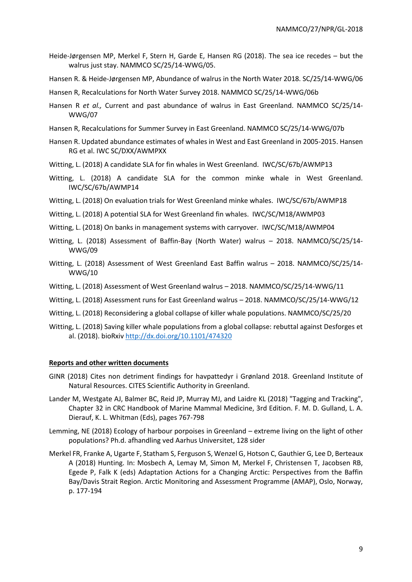- Heide-Jørgensen MP, Merkel F, Stern H, Garde E, Hansen RG (2018). The sea ice recedes but the walrus just stay. NAMMCO SC/25/14-WWG/05.
- Hansen R. & Heide-Jørgensen MP, Abundance of walrus in the North Water 2018. SC/25/14-WWG/06
- Hansen R, Recalculations for North Water Survey 2018. NAMMCO SC/25/14-WWG/06b
- Hansen R *et al.,* Current and past abundance of walrus in East Greenland. NAMMCO SC/25/14- WWG/07
- Hansen R, Recalculations for Summer Survey in East Greenland. NAMMCO SC/25/14-WWG/07b
- Hansen R. Updated abundance estimates of whales in West and East Greenland in 2005-2015. Hansen RG et al. IWC SC/DXX/AWMPXX
- Witting, L. (2018) A candidate SLA for fin whales in West Greenland. IWC/SC/67b/AWMP13
- Witting, L. (2018) A candidate SLA for the common minke whale in West Greenland. IWC/SC/67b/AWMP14
- Witting, L. (2018) On evaluation trials for West Greenland minke whales. IWC/SC/67b/AWMP18
- Witting, L. (2018) A potential SLA for West Greenland fin whales. IWC/SC/M18/AWMP03
- Witting, L. (2018) On banks in management systems with carryover. IWC/SC/M18/AWMP04
- Witting, L. (2018) Assessment of Baffin-Bay (North Water) walrus 2018. NAMMCO/SC/25/14- WWG/09
- Witting, L. (2018) Assessment of West Greenland East Baffin walrus 2018. NAMMCO/SC/25/14- WWG/10
- Witting, L. (2018) Assessment of West Greenland walrus 2018. NAMMCO/SC/25/14-WWG/11
- Witting, L. (2018) Assessment runs for East Greenland walrus 2018. NAMMCO/SC/25/14-WWG/12
- Witting, L. (2018) Reconsidering a global collapse of killer whale populations. NAMMCO/SC/25/20
- Witting, L. (2018) Saving killer whale populations from a global collapse: rebuttal against Desforges et al. (2018). bioRxiv<http://dx.doi.org/10.1101/474320>

#### **Reports and other written documents**

- GINR (2018) Cites non detriment findings for havpattedyr i Grønland 2018. Greenland Institute of Natural Resources. CITES Scientific Authority in Greenland.
- Lander M, Westgate AJ, Balmer BC, Reid JP, Murray MJ, and Laidre KL (2018) "Tagging and Tracking", Chapter 32 in CRC Handbook of Marine Mammal Medicine, 3rd Edition. F. M. D. Gulland, L. A. Dierauf, K. L. Whitman (Eds), pages 767-798
- Lemming, NE (2018) Ecology of harbour porpoises in Greenland extreme living on the light of other populations? Ph.d. afhandling ved Aarhus Universitet, 128 sider
- Merkel FR, Franke A, Ugarte F, Statham S, Ferguson S, Wenzel G, Hotson C, Gauthier G, Lee D, Berteaux A (2018) Hunting. In: Mosbech A, Lemay M, Simon M, Merkel F, Christensen T, Jacobsen RB, Egede P, Falk K (eds) Adaptation Actions for a Changing Arctic: Perspectives from the Baffin Bay/Davis Strait Region. Arctic Monitoring and Assessment Programme (AMAP), Oslo, Norway, p. 177-194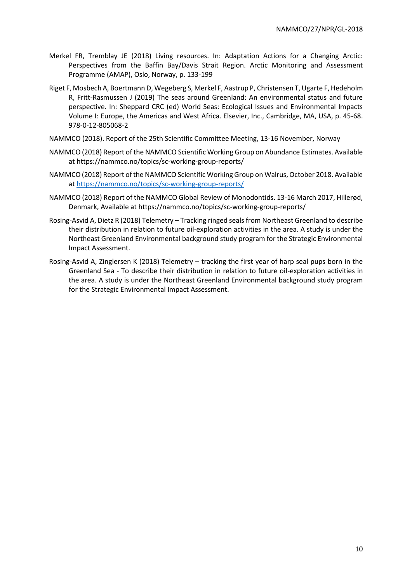- Merkel FR, Tremblay JE (2018) Living resources. In: Adaptation Actions for a Changing Arctic: Perspectives from the Baffin Bay/Davis Strait Region. Arctic Monitoring and Assessment Programme (AMAP), Oslo, Norway, p. 133-199
- Riget F, Mosbech A, Boertmann D, Wegeberg S, Merkel F, Aastrup P, Christensen T, Ugarte F, Hedeholm R, Fritt-Rasmussen J (2019) The seas around Greenland: An environmental status and future perspective. In: Sheppard CRC (ed) World Seas: Ecological Issues and Environmental Impacts Volume I: Europe, the Americas and West Africa. Elsevier, Inc., Cambridge, MA, USA, p. 45-68. 978-0-12-805068-2
- NAMMCO (2018). Report of the 25th Scientific Committee Meeting, 13-16 November, Norway
- NAMMCO (2018) Report of the NAMMCO Scientific Working Group on Abundance Estimates. Available at https://nammco.no/topics/sc-working-group-reports/
- NAMMCO (2018) Report of the NAMMCO Scientific Working Group on Walrus, October 2018. Available a[t https://nammco.no/topics/sc-working-group-reports/](https://nammco.no/topics/sc-working-group-reports/)
- NAMMCO (2018) Report of the NAMMCO Global Review of Monodontids. 13-16 March 2017, Hillerød, Denmark, Available at https://nammco.no/topics/sc-working-group-reports/
- Rosing-Asvid A, Dietz R (2018) Telemetry Tracking ringed seals from Northeast Greenland to describe their distribution in relation to future oil-exploration activities in the area. A study is under the Northeast Greenland Environmental background study program for the Strategic Environmental Impact Assessment.
- Rosing-Asvid A, Zinglersen K (2018) Telemetry tracking the first year of harp seal pups born in the Greenland Sea - To describe their distribution in relation to future oil-exploration activities in the area. A study is under the Northeast Greenland Environmental background study program for the Strategic Environmental Impact Assessment.